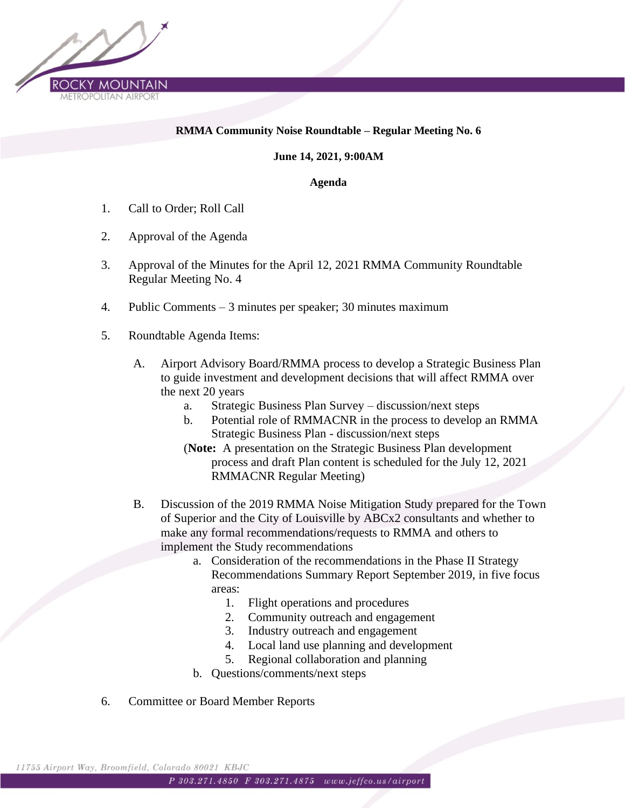

## **RMMA Community Noise Roundtable – Regular Meeting No. 6**

**June 14, 2021, 9:00AM**

**Agenda**

- 1. Call to Order; Roll Call
- 2. Approval of the Agenda
- 3. Approval of the Minutes for the April 12, 2021 RMMA Community Roundtable Regular Meeting No. 4
- 4. Public Comments 3 minutes per speaker; 30 minutes maximum
- 5. Roundtable Agenda Items:
	- A. Airport Advisory Board/RMMA process to develop a Strategic Business Plan to guide investment and development decisions that will affect RMMA over the next 20 years
		- a. Strategic Business Plan Survey discussion/next steps
		- b. Potential role of RMMACNR in the process to develop an RMMA Strategic Business Plan - discussion/next steps
		- (**Note:** A presentation on the Strategic Business Plan development process and draft Plan content is scheduled for the July 12, 2021 RMMACNR Regular Meeting)
	- B. Discussion of the 2019 RMMA Noise Mitigation Study prepared for the Town of Superior and the City of Louisville by ABCx2 consultants and whether to make any formal recommendations/requests to RMMA and others to implement the Study recommendations
		- a. Consideration of the recommendations in the Phase II Strategy Recommendations Summary Report September 2019, in five focus areas:
			- 1. Flight operations and procedures
			- 2. Community outreach and engagement
			- 3. Industry outreach and engagement
			- 4. Local land use planning and development
			- 5. Regional collaboration and planning
		- b. Questions/comments/next steps
- 6. Committee or Board Member Reports